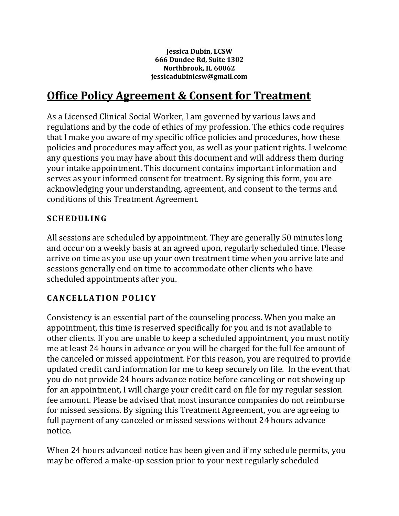**Jessica Dubin, LCSW 666 Dundee Rd, Suite 1302 Northbrook, IL 60062 jessicadubinlcsw@gmail.com**

# **Office Policy Agreement & Consent for Treatment**

As a Licensed Clinical Social Worker, I am governed by various laws and regulations and by the code of ethics of my profession. The ethics code requires that I make you aware of my specific office policies and procedures, how these policies and procedures may affect you, as well as your patient rights. I welcome any questions you may have about this document and will address them during your intake appointment. This document contains important information and serves as your informed consent for treatment. By signing this form, you are acknowledging your understanding, agreement, and consent to the terms and conditions of this Treatment Agreement.

#### **S C H E D U L I NG**

All sessions are scheduled by appointment. They are generally 50 minutes long and occur on a weekly basis at an agreed upon, regularly scheduled time. Please arrive on time as you use up your own treatment time when you arrive late and sessions generally end on time to accommodate other clients who have scheduled appointments after you.

#### **C A N C E L L A T I O N P O L I C Y**

Consistency is an essential part of the counseling process. When you make an appointment, this time is reserved specifically for you and is not available to other clients. If you are unable to keep a scheduled appointment, you must notify me at least 24 hours in advance or you will be charged for the full fee amount of the canceled or missed appointment. For this reason, you are required to provide updated credit card information for me to keep securely on file. In the event that you do not provide 24 hours advance notice before canceling or not showing up for an appointment, I will charge your credit card on file for my regular session fee amount. Please be advised that most insurance companies do not reimburse for missed sessions. By signing this Treatment Agreement, you are agreeing to full payment of any canceled or missed sessions without 24 hours advance notice.

When 24 hours advanced notice has been given and if my schedule permits, you may be offered a make-up session prior to your next regularly scheduled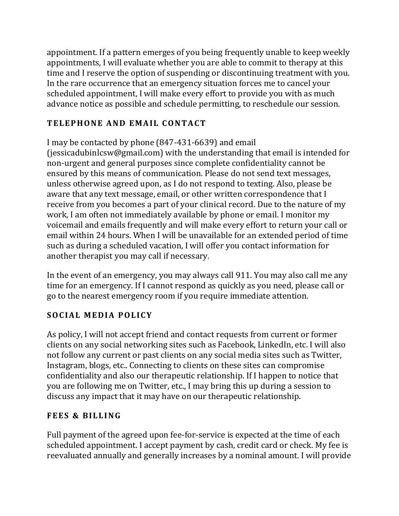appointment. If a pattern emerges of you being frequently unable to keep weekly appointments, I will evaluate whether you are able to commit to therapy at this time and I reserve the option of suspending or discontinuing treatment with you. In the rare occurrence that an emergency situation forces me to cancel your scheduled appointment, I will make every effort to provide you with as much advance notice as possible and schedule permitting, to reschedule our session.

# **T E L E P H O N E A N D E M A I L C O N T A C T**

```
I may be contacted by phone (847-431-6639) and email
```
(jessicadubinlcsw@gmail.com) with the understanding that email is intended for non-urgent and general purposes since complete confidentiality cannot be ensured by this means of communication. Please do not send text messages, unless otherwise agreed upon, as I do not respond to texting. Also, please be aware that any text message, email, or other written correspondence that I receive from you becomes a part of your clinical record. Due to the nature of my work, I am often not immediately available by phone or email. I monitor my voicemail and emails frequently and will make every effort to return your call or email within 24 hours. When I will be unavailable for an extended period of time such as during a scheduled vacation, I will offer you contact information for another therapist you may call if necessary.

In the event of an emergency, you may always call 911. You may also call me any time for an emergency. If I cannot respond as quickly as you need, please call or go to the nearest emergency room if you require immediate attention.

# **SOCIAL MEDIA POLICY**

As policy, I will not accept friend and contact requests from current or former clients on any social networking sites such as Facebook, LinkedIn, etc. I will also not follow any current or past clients on any social media sites such as Twitter, Instagram, blogs, etc.. Connecting to clients on these sites can compromise confidentiality and also our therapeutic relationship. If I happen to notice that you are following me on Twitter, etc., I may bring this up during a session to discuss any impact that it may have on our therapeutic relationship.

#### **F E E S & BI L L I N G**

Full payment of the agreed upon fee-for-service is expected at the time of each scheduled appointment. I accept payment by cash, credit card or check. My fee is reevaluated annually and generally increases by a nominal amount. I will provide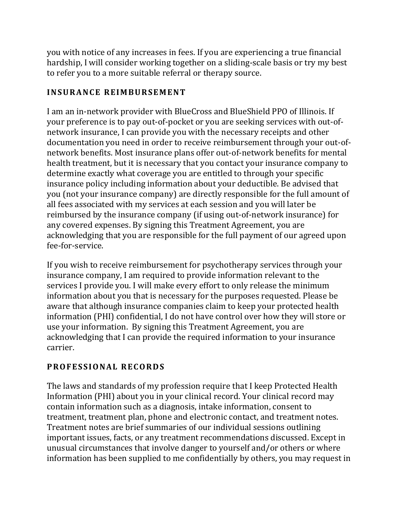you with notice of any increases in fees. If you are experiencing a true financial hardship, I will consider working together on a sliding-scale basis or try my best to refer you to a more suitable referral or therapy source.

#### **I N S U R A N C E R EI M B U R S E M E N T**

I am an in-network provider with BlueCross and BlueShield PPO of Illinois. If your preference is to pay out-of-pocket or you are seeking services with out-ofnetwork insurance, I can provide you with the necessary receipts and other documentation you need in order to receive reimbursement through your out-ofnetwork benefits. Most insurance plans offer out-of-network benefits for mental health treatment, but it is necessary that you contact your insurance company to determine exactly what coverage you are entitled to through your specific insurance policy including information about your deductible. Be advised that you (not your insurance company) are directly responsible for the full amount of all fees associated with my services at each session and you will later be reimbursed by the insurance company (if using out-of-network insurance) for any covered expenses. By signing this Treatment Agreement, you are acknowledging that you are responsible for the full payment of our agreed upon fee-for-service.

If you wish to receive reimbursement for psychotherapy services through your insurance company, I am required to provide information relevant to the services I provide you. I will make every effort to only release the minimum information about you that is necessary for the purposes requested. Please be aware that although insurance companies claim to keep your protected health information (PHI) confidential, I do not have control over how they will store or use your information. By signing this Treatment Agreement, you are acknowledging that I can provide the required information to your insurance carrier.

# **P R O F E S S I O N AL R E C O R D S**

The laws and standards of my profession require that I keep Protected Health Information (PHI) about you in your clinical record. Your clinical record may contain information such as a diagnosis, intake information, consent to treatment, treatment plan, phone and electronic contact, and treatment notes. Treatment notes are brief summaries of our individual sessions outlining important issues, facts, or any treatment recommendations discussed. Except in unusual circumstances that involve danger to yourself and/or others or where information has been supplied to me confidentially by others, you may request in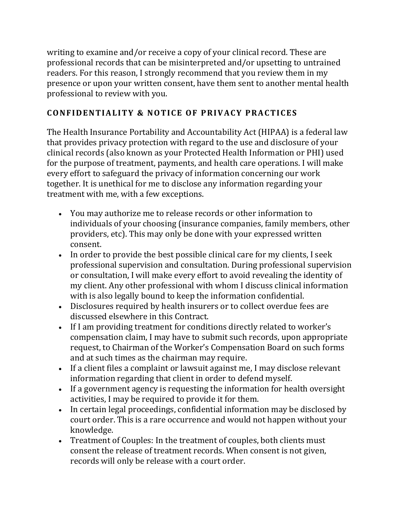writing to examine and/or receive a copy of your clinical record. These are professional records that can be misinterpreted and/or upsetting to untrained readers. For this reason, I strongly recommend that you review them in my presence or upon your written consent, have them sent to another mental health professional to review with you.

## **C O N F I D E N T I A L I T Y & N O T I C E O F P R I V A C Y P R A C T I C E S**

The Health Insurance Portability and Accountability Act (HIPAA) is a federal law that provides privacy protection with regard to the use and disclosure of your clinical records (also known as your Protected Health Information or PHI) used for the purpose of treatment, payments, and health care operations. I will make every effort to safeguard the privacy of information concerning our work together. It is unethical for me to disclose any information regarding your treatment with me, with a few exceptions.

- You may authorize me to release records or other information to individuals of your choosing (insurance companies, family members, other providers, etc). This may only be done with your expressed written consent.
- In order to provide the best possible clinical care for my clients, I seek professional supervision and consultation. During professional supervision or consultation, I will make every effort to avoid revealing the identity of my client. Any other professional with whom I discuss clinical information with is also legally bound to keep the information confidential.
- Disclosures required by health insurers or to collect overdue fees are discussed elsewhere in this Contract.
- If I am providing treatment for conditions directly related to worker's compensation claim, I may have to submit such records, upon appropriate request, to Chairman of the Worker's Compensation Board on such forms and at such times as the chairman may require.
- If a client files a complaint or lawsuit against me, I may disclose relevant information regarding that client in order to defend myself.
- If a government agency is requesting the information for health oversight activities, I may be required to provide it for them.
- In certain legal proceedings, confidential information may be disclosed by court order. This is a rare occurrence and would not happen without your knowledge.
- Treatment of Couples: In the treatment of couples, both clients must consent the release of treatment records. When consent is not given, records will only be release with a court order.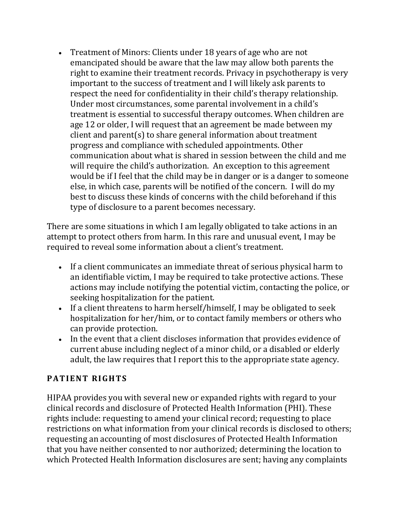• Treatment of Minors: Clients under 18 years of age who are not emancipated should be aware that the law may allow both parents the right to examine their treatment records. Privacy in psychotherapy is very important to the success of treatment and I will likely ask parents to respect the need for confidentiality in their child's therapy relationship. Under most circumstances, some parental involvement in a child's treatment is essential to successful therapy outcomes. When children are age 12 or older, I will request that an agreement be made between my client and parent(s) to share general information about treatment progress and compliance with scheduled appointments. Other communication about what is shared in session between the child and me will require the child's authorization. An exception to this agreement would be if I feel that the child may be in danger or is a danger to someone else, in which case, parents will be notified of the concern. I will do my best to discuss these kinds of concerns with the child beforehand if this type of disclosure to a parent becomes necessary.

There are some situations in which I am legally obligated to take actions in an attempt to protect others from harm. In this rare and unusual event, I may be required to reveal some information about a client's treatment.

- If a client communicates an immediate threat of serious physical harm to an identifiable victim, I may be required to take protective actions. These actions may include notifying the potential victim, contacting the police, or seeking hospitalization for the patient.
- If a client threatens to harm herself/himself, I may be obligated to seek hospitalization for her/him, or to contact family members or others who can provide protection.
- In the event that a client discloses information that provides evidence of current abuse including neglect of a minor child, or a disabled or elderly adult, the law requires that I report this to the appropriate state agency.

#### **PATIENT RIGHTS**

HIPAA provides you with several new or expanded rights with regard to your clinical records and disclosure of Protected Health Information (PHI). These rights include: requesting to amend your clinical record; requesting to place restrictions on what information from your clinical records is disclosed to others; requesting an accounting of most disclosures of Protected Health Information that you have neither consented to nor authorized; determining the location to which Protected Health Information disclosures are sent; having any complaints